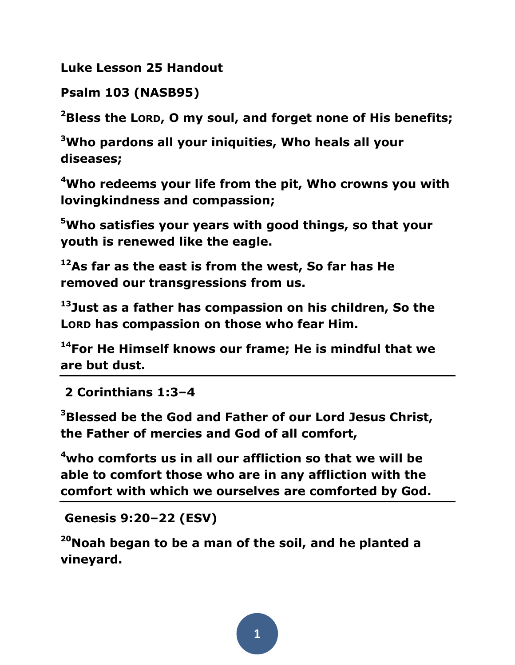**Luke Lesson 25 Handout**

**Psalm 103 (NASB95)** 

**<sup>2</sup>Bless the LORD, O my soul, and forget none of His benefits;** 

**<sup>3</sup>Who pardons all your iniquities, Who heals all your diseases;** 

**<sup>4</sup>Who redeems your life from the pit, Who crowns you with lovingkindness and compassion;** 

**<sup>5</sup>Who satisfies your years with good things, so that your youth is renewed like the eagle.** 

**<sup>12</sup>As far as the east is from the west, So far has He removed our transgressions from us.** 

**<sup>13</sup>Just as a father has compassion on his children, So the LORD has compassion on those who fear Him.** 

**<sup>14</sup>For He Himself knows our frame; He is mindful that we are but dust.**

**2 Corinthians 1:3–4** 

**<sup>3</sup>Blessed be the God and Father of our Lord Jesus Christ, the Father of mercies and God of all comfort,** 

**<sup>4</sup>who comforts us in all our affliction so that we will be able to comfort those who are in any affliction with the comfort with which we ourselves are comforted by God.**

**Genesis 9:20–22 (ESV)** 

**<sup>20</sup>Noah began to be a man of the soil, and he planted a vineyard.**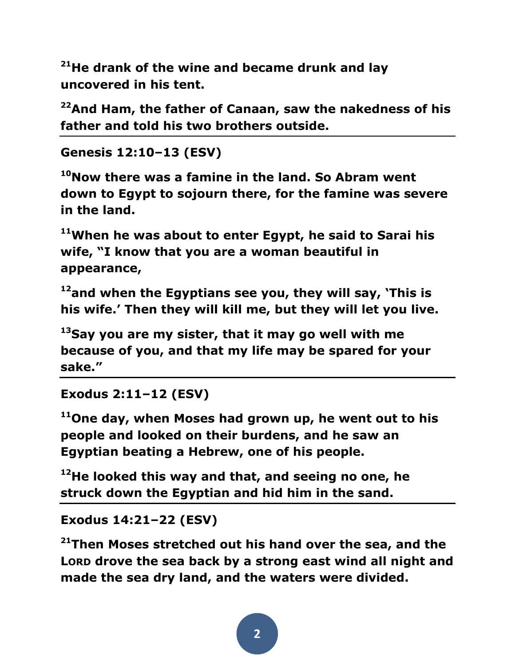**<sup>21</sup>He drank of the wine and became drunk and lay uncovered in his tent.** 

**<sup>22</sup>And Ham, the father of Canaan, saw the nakedness of his father and told his two brothers outside.**

```
Genesis 12:10–13 (ESV)
```
**<sup>10</sup>Now there was a famine in the land. So Abram went down to Egypt to sojourn there, for the famine was severe in the land.** 

**<sup>11</sup>When he was about to enter Egypt, he said to Sarai his wife, "I know that you are a woman beautiful in appearance,** 

**<sup>12</sup>and when the Egyptians see you, they will say, 'This is his wife.' Then they will kill me, but they will let you live.** 

**<sup>13</sup>Say you are my sister, that it may go well with me because of you, and that my life may be spared for your sake."** 

**Exodus 2:11–12 (ESV)** 

**<sup>11</sup>One day, when Moses had grown up, he went out to his people and looked on their burdens, and he saw an Egyptian beating a Hebrew, one of his people.** 

**<sup>12</sup>He looked this way and that, and seeing no one, he struck down the Egyptian and hid him in the sand.** 

**Exodus 14:21–22 (ESV)** 

**<sup>21</sup>Then Moses stretched out his hand over the sea, and the LORD drove the sea back by a strong east wind all night and made the sea dry land, and the waters were divided.**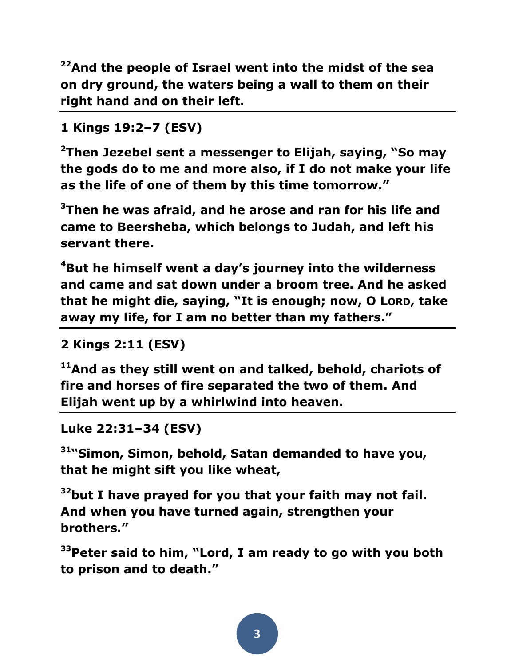**<sup>22</sup>And the people of Israel went into the midst of the sea on dry ground, the waters being a wall to them on their right hand and on their left.**

```
1 Kings 19:2–7 (ESV)
```
**<sup>2</sup>Then Jezebel sent a messenger to Elijah, saying, "So may the gods do to me and more also, if I do not make your life as the life of one of them by this time tomorrow."** 

**<sup>3</sup>Then he was afraid, and he arose and ran for his life and came to Beersheba, which belongs to Judah, and left his servant there.** 

**<sup>4</sup>But he himself went a day's journey into the wilderness and came and sat down under a broom tree. And he asked that he might die, saying, "It is enough; now, O LORD, take away my life, for I am no better than my fathers."** 

```
2 Kings 2:11 (ESV)
```
**<sup>11</sup>And as they still went on and talked, behold, chariots of fire and horses of fire separated the two of them. And Elijah went up by a whirlwind into heaven.** 

```
Luke 22:31–34 (ESV)
```
**<sup>31</sup>"Simon, Simon, behold, Satan demanded to have you, that he might sift you like wheat,** 

**<sup>32</sup>but I have prayed for you that your faith may not fail. And when you have turned again, strengthen your brothers."** 

**<sup>33</sup>Peter said to him, "Lord, I am ready to go with you both to prison and to death."**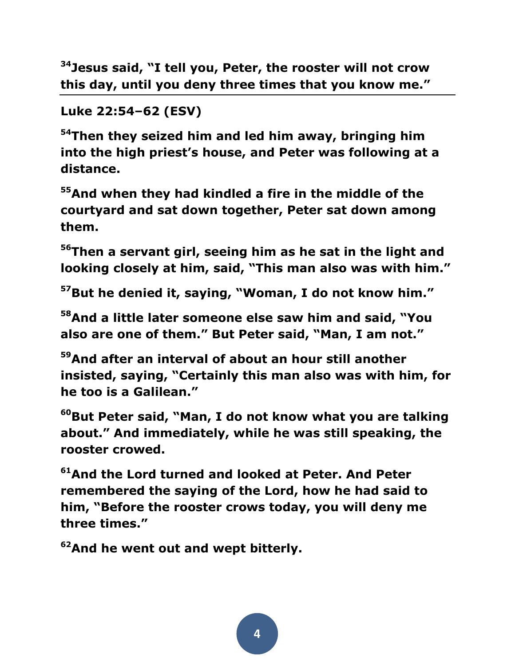**<sup>34</sup>Jesus said, "I tell you, Peter, the rooster will not crow this day, until you deny three times that you know me."** 

## **Luke 22:54–62 (ESV)**

**<sup>54</sup>Then they seized him and led him away, bringing him into the high priest's house, and Peter was following at a distance.** 

**<sup>55</sup>And when they had kindled a fire in the middle of the courtyard and sat down together, Peter sat down among them.** 

**<sup>56</sup>Then a servant girl, seeing him as he sat in the light and looking closely at him, said, "This man also was with him."** 

**<sup>57</sup>But he denied it, saying, "Woman, I do not know him."** 

**<sup>58</sup>And a little later someone else saw him and said, "You also are one of them." But Peter said, "Man, I am not."** 

**<sup>59</sup>And after an interval of about an hour still another insisted, saying, "Certainly this man also was with him, for he too is a Galilean."** 

**<sup>60</sup>But Peter said, "Man, I do not know what you are talking about." And immediately, while he was still speaking, the rooster crowed.** 

**<sup>61</sup>And the Lord turned and looked at Peter. And Peter remembered the saying of the Lord, how he had said to him, "Before the rooster crows today, you will deny me three times."** 

**<sup>62</sup>And he went out and wept bitterly.**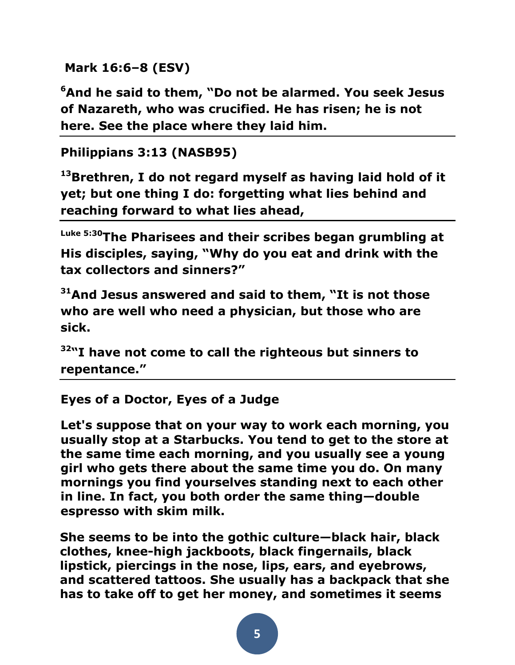```
Mark 16:6–8 (ESV)
```
**<sup>6</sup>And he said to them, "Do not be alarmed. You seek Jesus of Nazareth, who was crucified. He has risen; he is not here. See the place where they laid him.** 

```
Philippians 3:13 (NASB95)
```
**<sup>13</sup>Brethren, I do not regard myself as having laid hold of it yet; but one thing I do: forgetting what lies behind and reaching forward to what lies ahead,**

**Luke 5:30The Pharisees and their scribes began grumbling at His disciples, saying, "Why do you eat and drink with the tax collectors and sinners?"** 

**<sup>31</sup>And Jesus answered and said to them, "It is not those who are well who need a physician, but those who are sick.** 

**<sup>32</sup>"I have not come to call the righteous but sinners to repentance."** 

## **[Eyes of a Doctor, Eyes of a Judge](http://www.preachingtoday.com/illustrations/2010/july/4071210.html)**

**Let's suppose that on your way to work each morning, you usually stop at a Starbucks. You tend to get to the store at the same time each morning, and you usually see a young girl who gets there about the same time you do. On many mornings you find yourselves standing next to each other in line. In fact, you both order the same thing—double espresso with skim milk.**

**She seems to be into the gothic culture—black hair, black clothes, knee-high jackboots, black fingernails, black lipstick, piercings in the nose, lips, ears, and eyebrows, and scattered tattoos. She usually has a backpack that she has to take off to get her money, and sometimes it seems**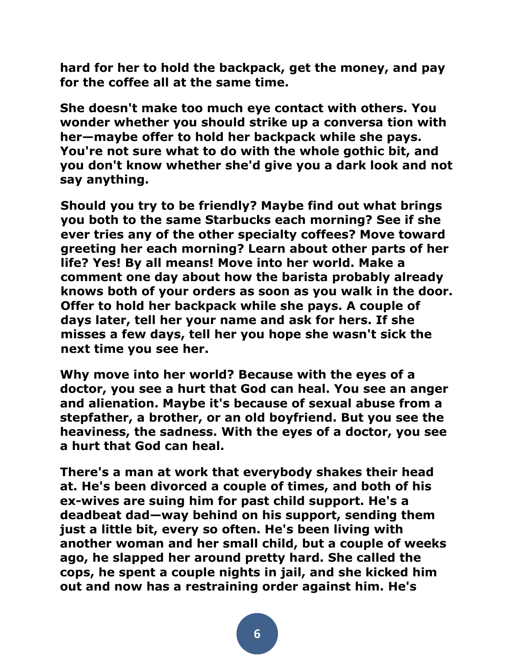**hard for her to hold the backpack, get the money, and pay for the coffee all at the same time.**

**She doesn't make too much eye contact with others. You wonder whether you should strike up a conversa tion with her—maybe offer to hold her backpack while she pays. You're not sure what to do with the whole gothic bit, and you don't know whether she'd give you a dark look and not say anything.**

**Should you try to be friendly? Maybe find out what brings you both to the same Starbucks each morning? See if she ever tries any of the other specialty coffees? Move toward greeting her each morning? Learn about other parts of her life? Yes! By all means! Move into her world. Make a comment one day about how the barista probably already knows both of your orders as soon as you walk in the door. Offer to hold her backpack while she pays. A couple of days later, tell her your name and ask for hers. If she misses a few days, tell her you hope she wasn't sick the next time you see her.**

**Why move into her world? Because with the eyes of a doctor, you see a hurt that God can heal. You see an anger and alienation. Maybe it's because of sexual abuse from a stepfather, a brother, or an old boyfriend. But you see the heaviness, the sadness. With the eyes of a doctor, you see a hurt that God can heal.**

**There's a man at work that everybody shakes their head at. He's been divorced a couple of times, and both of his ex-wives are suing him for past child support. He's a deadbeat dad—way behind on his support, sending them just a little bit, every so often. He's been living with another woman and her small child, but a couple of weeks ago, he slapped her around pretty hard. She called the cops, he spent a couple nights in jail, and she kicked him out and now has a restraining order against him. He's**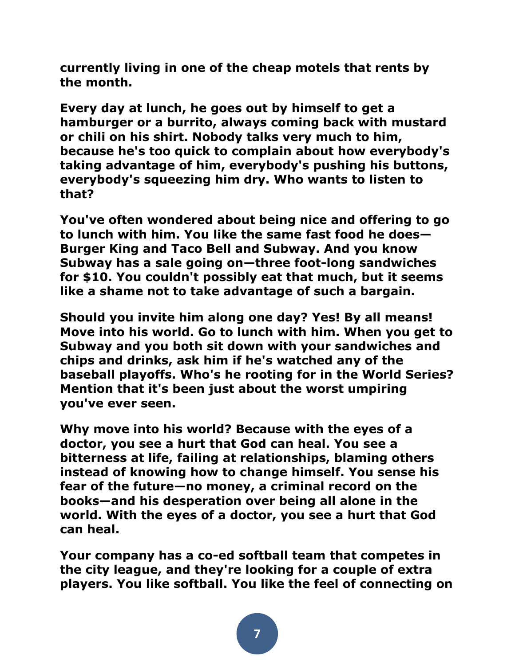**currently living in one of the cheap motels that rents by the month.**

**Every day at lunch, he goes out by himself to get a hamburger or a burrito, always coming back with mustard or chili on his shirt. Nobody talks very much to him, because he's too quick to complain about how everybody's taking advantage of him, everybody's pushing his buttons, everybody's squeezing him dry. Who wants to listen to that?**

**You've often wondered about being nice and offering to go to lunch with him. You like the same fast food he does— Burger King and Taco Bell and Subway. And you know Subway has a sale going on—three foot-long sandwiches for \$10. You couldn't possibly eat that much, but it seems like a shame not to take advantage of such a bargain.**

**Should you invite him along one day? Yes! By all means! Move into his world. Go to lunch with him. When you get to Subway and you both sit down with your sandwiches and chips and drinks, ask him if he's watched any of the baseball playoffs. Who's he rooting for in the World Series? Mention that it's been just about the worst umpiring you've ever seen.**

**Why move into his world? Because with the eyes of a doctor, you see a hurt that God can heal. You see a bitterness at life, failing at relationships, blaming others instead of knowing how to change himself. You sense his fear of the future—no money, a criminal record on the books—and his desperation over being all alone in the world. With the eyes of a doctor, you see a hurt that God can heal.**

**Your company has a co-ed softball team that competes in the city league, and they're looking for a couple of extra players. You like softball. You like the feel of connecting on**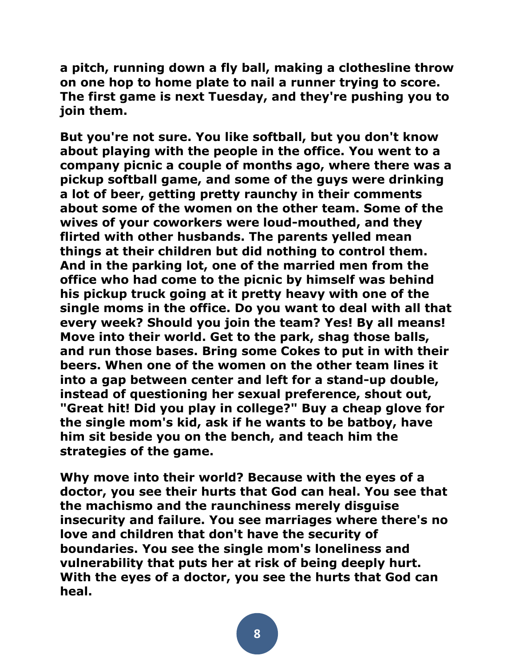**a pitch, running down a fly ball, making a clothesline throw on one hop to home plate to nail a runner trying to score. The first game is next Tuesday, and they're pushing you to join them.**

**But you're not sure. You like softball, but you don't know about playing with the people in the office. You went to a company picnic a couple of months ago, where there was a pickup softball game, and some of the guys were drinking a lot of beer, getting pretty raunchy in their comments about some of the women on the other team. Some of the wives of your coworkers were loud-mouthed, and they flirted with other husbands. The parents yelled mean things at their children but did nothing to control them. And in the parking lot, one of the married men from the office who had come to the picnic by himself was behind his pickup truck going at it pretty heavy with one of the single moms in the office. Do you want to deal with all that every week? Should you join the team? Yes! By all means! Move into their world. Get to the park, shag those balls, and run those bases. Bring some Cokes to put in with their beers. When one of the women on the other team lines it into a gap between center and left for a stand-up double, instead of questioning her sexual preference, shout out, "Great hit! Did you play in college?" Buy a cheap glove for the single mom's kid, ask if he wants to be batboy, have him sit beside you on the bench, and teach him the strategies of the game.**

**Why move into their world? Because with the eyes of a doctor, you see their hurts that God can heal. You see that the machismo and the raunchiness merely disguise insecurity and failure. You see marriages where there's no love and children that don't have the security of boundaries. You see the single mom's loneliness and vulnerability that puts her at risk of being deeply hurt. With the eyes of a doctor, you see the hurts that God can heal.**